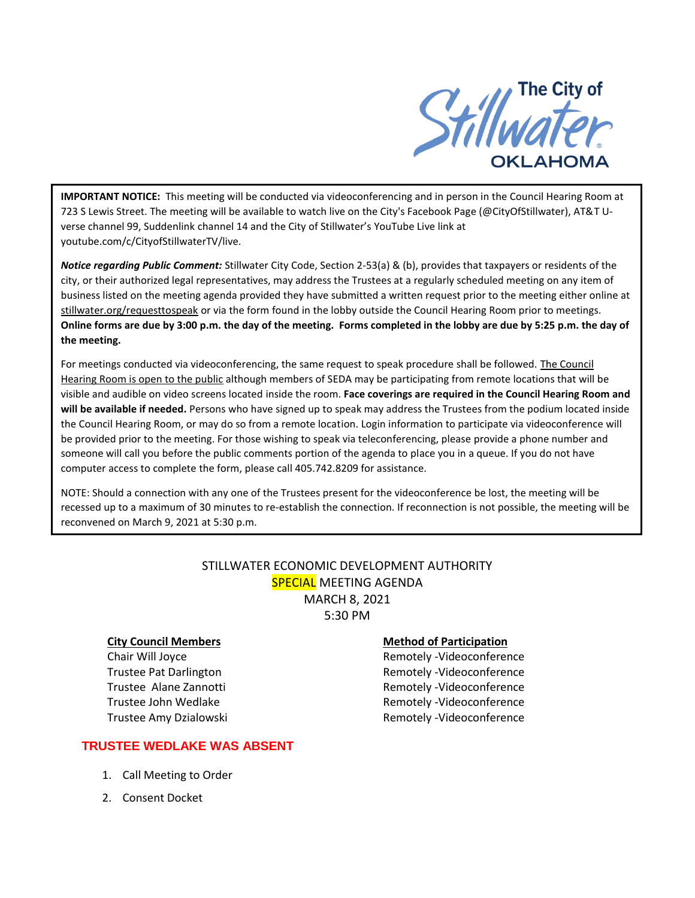

**IMPORTANT NOTICE:** This meeting will be conducted via videoconferencing and in person in the Council Hearing Room at 723 S Lewis Street. The meeting will be available to watch live on the City's Facebook Page (@CityOfStillwater), AT&T Uverse channel 99, Suddenlink channel 14 and the City of Stillwater's YouTube Live link at youtube.com/c/CityofStillwaterTV/live.

*Notice regarding Public Comment:* Stillwater City Code, Section 2-53(a) & (b), provides that taxpayers or residents of the city, or their authorized legal representatives, may address the Trustees at a regularly scheduled meeting on any item of business listed on the meeting agenda provided they have submitted a written request prior to the meeting either online at stillwater.org/requesttospeak or via the form found in the lobby outside the Council Hearing Room prior to meetings. **Online forms are due by 3:00 p.m. the day of the meeting. Forms completed in the lobby are due by 5:25 p.m. the day of the meeting.**

For meetings conducted via videoconferencing, the same request to speak procedure shall be followed. The Council Hearing Room is open to the public although members of SEDA may be participating from remote locations that will be visible and audible on video screens located inside the room. **Face coverings are required in the Council Hearing Room and will be available if needed.** Persons who have signed up to speak may address the Trustees from the podium located inside the Council Hearing Room, or may do so from a remote location. Login information to participate via videoconference will be provided prior to the meeting. For those wishing to speak via teleconferencing, please provide a phone number and someone will call you before the public comments portion of the agenda to place you in a queue. If you do not have computer access to complete the form, please call 405.742.8209 for assistance.

NOTE: Should a connection with any one of the Trustees present for the videoconference be lost, the meeting will be recessed up to a maximum of 30 minutes to re-establish the connection. If reconnection is not possible, the meeting will be reconvened on March 9, 2021 at 5:30 p.m.

# STILLWATER ECONOMIC DEVELOPMENT AUTHORITY SPECIAL MEETING AGENDA MARCH 8, 2021 5:30 PM

# **TRUSTEE WEDLAKE WAS ABSENT**

- 1. Call Meeting to Order
- 2. Consent Docket

### **City Council Members Method of Participation**

Chair Will Joyce **Remotely -Videoconference** Trustee Pat Darlington **Remotely -Videoconference** Trustee Alane Zannotti and a member of Remotely -Videoconference Trustee John Wedlake **Remotely -Videoconference** Trustee Amy Dzialowski and a Remotely -Videoconference